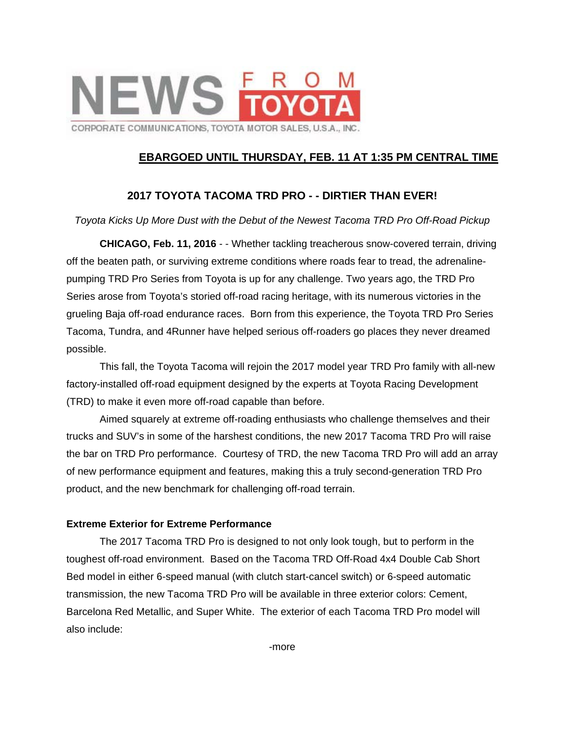

## **EBARGOED UNTIL THURSDAY, FEB. 11 AT 1:35 PM CENTRAL TIME**

## **2017 TOYOTA TACOMA TRD PRO - - DIRTIER THAN EVER!**

#### *Toyota Kicks Up More Dust with the Debut of the Newest Tacoma TRD Pro Off-Road Pickup*

**CHICAGO, Feb. 11, 2016** - - Whether tackling treacherous snow-covered terrain, driving off the beaten path, or surviving extreme conditions where roads fear to tread, the adrenalinepumping TRD Pro Series from Toyota is up for any challenge. Two years ago, the TRD Pro Series arose from Toyota's storied off-road racing heritage, with its numerous victories in the grueling Baja off-road endurance races. Born from this experience, the Toyota TRD Pro Series Tacoma, Tundra, and 4Runner have helped serious off-roaders go places they never dreamed possible.

 This fall, the Toyota Tacoma will rejoin the 2017 model year TRD Pro family with all-new factory-installed off-road equipment designed by the experts at Toyota Racing Development (TRD) to make it even more off-road capable than before.

 Aimed squarely at extreme off-roading enthusiasts who challenge themselves and their trucks and SUV's in some of the harshest conditions, the new 2017 Tacoma TRD Pro will raise the bar on TRD Pro performance. Courtesy of TRD, the new Tacoma TRD Pro will add an array of new performance equipment and features, making this a truly second-generation TRD Pro product, and the new benchmark for challenging off-road terrain.

#### **Extreme Exterior for Extreme Performance**

 The 2017 Tacoma TRD Pro is designed to not only look tough, but to perform in the toughest off-road environment. Based on the Tacoma TRD Off-Road 4x4 Double Cab Short Bed model in either 6-speed manual (with clutch start-cancel switch) or 6-speed automatic transmission, the new Tacoma TRD Pro will be available in three exterior colors: Cement, Barcelona Red Metallic, and Super White. The exterior of each Tacoma TRD Pro model will also include:

-more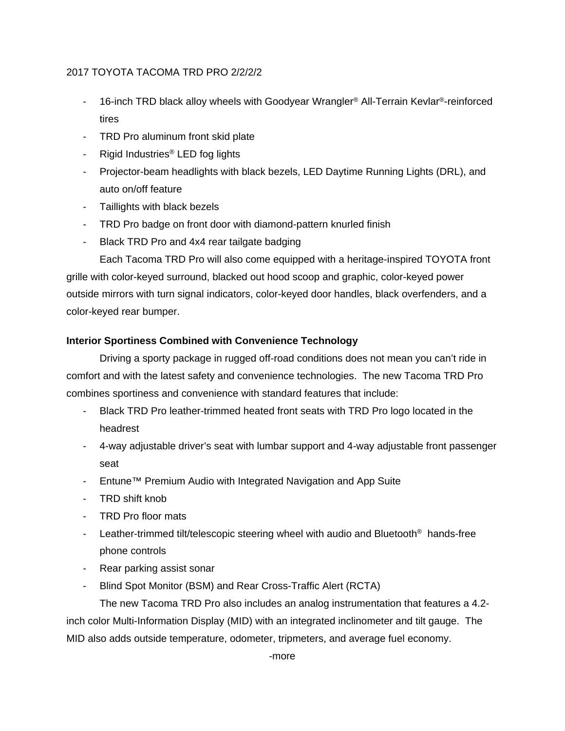# 2017 TOYOTA TACOMA TRD PRO 2/2/2/2

- 16-inch TRD black alloy wheels with Goodyear Wrangler<sup>®</sup> All-Terrain Kevlar<sup>®</sup>-reinforced tires
- TRD Pro aluminum front skid plate
- Rigid Industries<sup>®</sup> LED fog lights
- Projector-beam headlights with black bezels, LED Daytime Running Lights (DRL), and auto on/off feature
- Taillights with black bezels
- TRD Pro badge on front door with diamond-pattern knurled finish
- Black TRD Pro and 4x4 rear tailgate badging

Each Tacoma TRD Pro will also come equipped with a heritage-inspired TOYOTA front grille with color-keyed surround, blacked out hood scoop and graphic, color-keyed power outside mirrors with turn signal indicators, color-keyed door handles, black overfenders, and a color-keyed rear bumper.

# **Interior Sportiness Combined with Convenience Technology**

Driving a sporty package in rugged off-road conditions does not mean you can't ride in comfort and with the latest safety and convenience technologies. The new Tacoma TRD Pro combines sportiness and convenience with standard features that include:

- Black TRD Pro leather-trimmed heated front seats with TRD Pro logo located in the headrest
- 4-way adjustable driver's seat with lumbar support and 4-way adjustable front passenger seat
- Entune™ Premium Audio with Integrated Navigation and App Suite
- TRD shift knob
- TRD Pro floor mats
- Leather-trimmed tilt/telescopic steering wheel with audio and Bluetooth<sup>®</sup> hands-free phone controls
- Rear parking assist sonar
- Blind Spot Monitor (BSM) and Rear Cross-Traffic Alert (RCTA)

The new Tacoma TRD Pro also includes an analog instrumentation that features a 4.2 inch color Multi-Information Display (MID) with an integrated inclinometer and tilt gauge. The MID also adds outside temperature, odometer, tripmeters, and average fuel economy.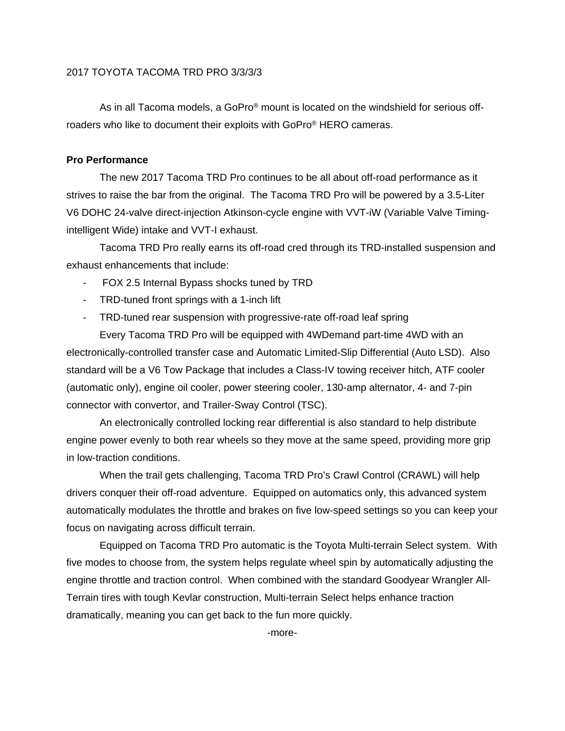## 2017 TOYOTA TACOMA TRD PRO 3/3/3/3

As in all Tacoma models, a GoPro® mount is located on the windshield for serious offroaders who like to document their exploits with GoPro® HERO cameras.

#### **Pro Performance**

The new 2017 Tacoma TRD Pro continues to be all about off-road performance as it strives to raise the bar from the original. The Tacoma TRD Pro will be powered by a 3.5-Liter V6 DOHC 24-valve direct-injection Atkinson-cycle engine with VVT-iW (Variable Valve Timingintelligent Wide) intake and VVT-I exhaust.

Tacoma TRD Pro really earns its off-road cred through its TRD-installed suspension and exhaust enhancements that include:

- FOX 2.5 Internal Bypass shocks tuned by TRD
- TRD-tuned front springs with a 1-inch lift
- TRD-tuned rear suspension with progressive-rate off-road leaf spring

Every Tacoma TRD Pro will be equipped with 4WDemand part-time 4WD with an electronically-controlled transfer case and Automatic Limited-Slip Differential (Auto LSD). Also standard will be a V6 Tow Package that includes a Class-IV towing receiver hitch, ATF cooler (automatic only), engine oil cooler, power steering cooler, 130-amp alternator, 4- and 7-pin connector with convertor, and Trailer-Sway Control (TSC).

An electronically controlled locking rear differential is also standard to help distribute engine power evenly to both rear wheels so they move at the same speed, providing more grip in low-traction conditions.

When the trail gets challenging, Tacoma TRD Pro's Crawl Control (CRAWL) will help drivers conquer their off-road adventure. Equipped on automatics only, this advanced system automatically modulates the throttle and brakes on five low-speed settings so you can keep your focus on navigating across difficult terrain.

Equipped on Tacoma TRD Pro automatic is the Toyota Multi-terrain Select system. With five modes to choose from, the system helps regulate wheel spin by automatically adjusting the engine throttle and traction control. When combined with the standard Goodyear Wrangler All-Terrain tires with tough Kevlar construction, Multi-terrain Select helps enhance traction dramatically, meaning you can get back to the fun more quickly.

-more-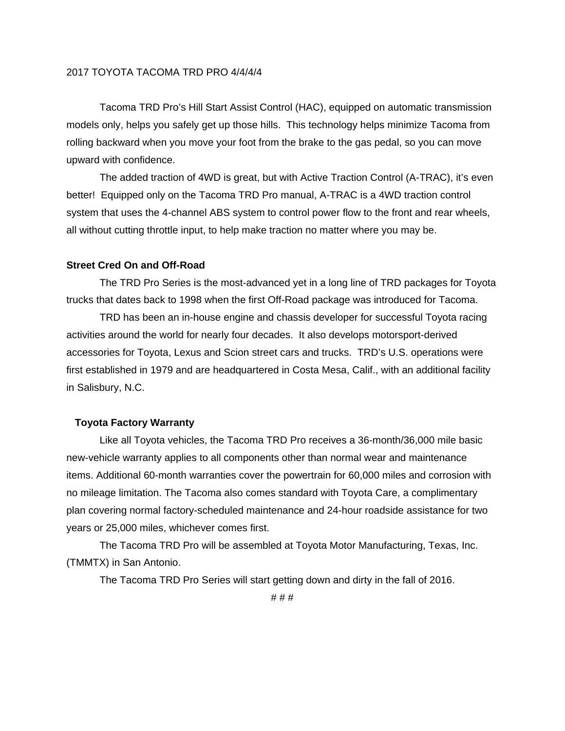## 2017 TOYOTA TACOMA TRD PRO 4/4/4/4

Tacoma TRD Pro's Hill Start Assist Control (HAC), equipped on automatic transmission models only, helps you safely get up those hills. This technology helps minimize Tacoma from rolling backward when you move your foot from the brake to the gas pedal, so you can move upward with confidence.

The added traction of 4WD is great, but with Active Traction Control (A-TRAC), it's even better! Equipped only on the Tacoma TRD Pro manual, A-TRAC is a 4WD traction control system that uses the 4-channel ABS system to control power flow to the front and rear wheels, all without cutting throttle input, to help make traction no matter where you may be.

## **Street Cred On and Off-Road**

The TRD Pro Series is the most-advanced yet in a long line of TRD packages for Toyota trucks that dates back to 1998 when the first Off-Road package was introduced for Tacoma.

TRD has been an in-house engine and chassis developer for successful Toyota racing activities around the world for nearly four decades. It also develops motorsport-derived accessories for Toyota, Lexus and Scion street cars and trucks. TRD's U.S. operations were first established in 1979 and are headquartered in Costa Mesa, Calif., with an additional facility in Salisbury, N.C.

#### **Toyota Factory Warranty**

Like all Toyota vehicles, the Tacoma TRD Pro receives a 36-month/36,000 mile basic new-vehicle warranty applies to all components other than normal wear and maintenance items. Additional 60-month warranties cover the powertrain for 60,000 miles and corrosion with no mileage limitation. The Tacoma also comes standard with Toyota Care, a complimentary plan covering normal factory-scheduled maintenance and 24-hour roadside assistance for two years or 25,000 miles, whichever comes first.

The Tacoma TRD Pro will be assembled at Toyota Motor Manufacturing, Texas, Inc. (TMMTX) in San Antonio.

The Tacoma TRD Pro Series will start getting down and dirty in the fall of 2016.